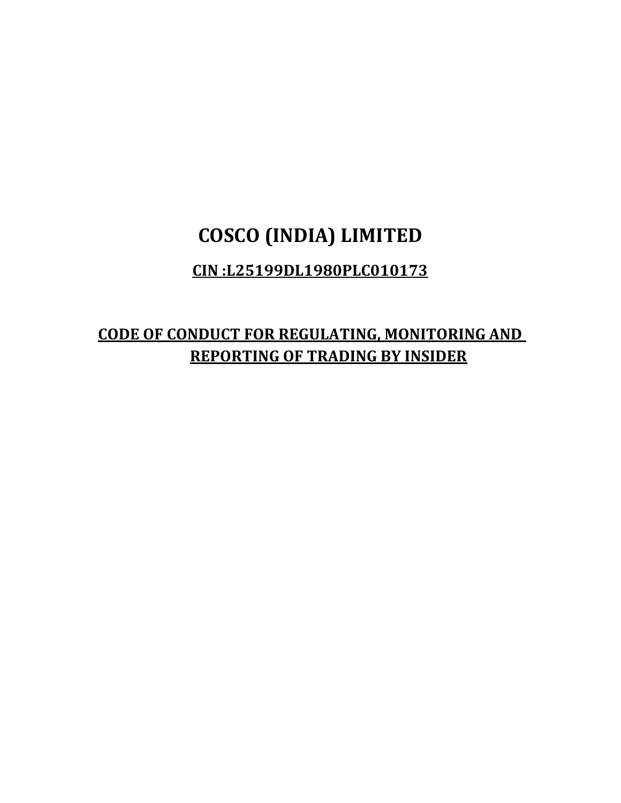# **COSCO (INDIA) LIMITED**

### **CIN :L25199DL1980PLC010173**

## **CODE OF CONDUCT FOR REGULATING, MONITORING AND REPORTING OF TRADING BY INSIDER**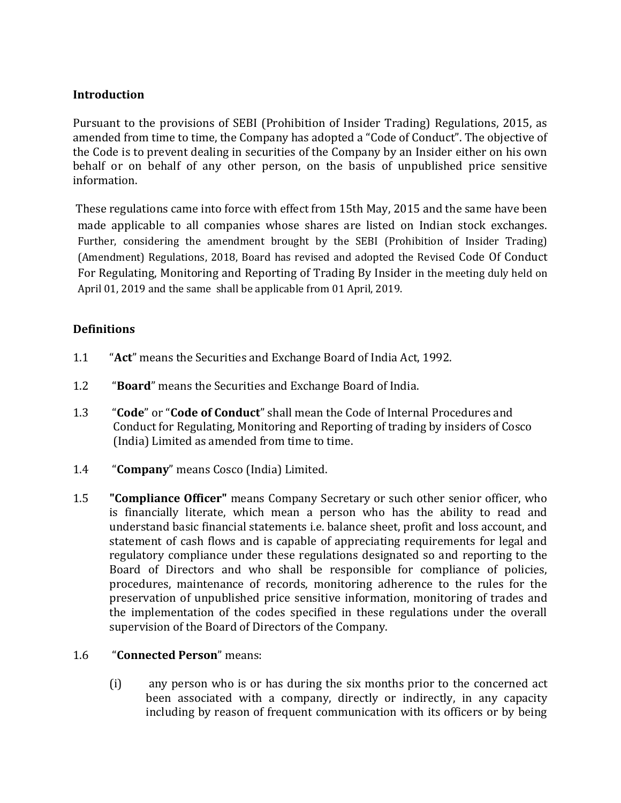#### **Introduction**

Pursuant to the provisions of SEBI (Prohibition of Insider Trading) Regulations, 2015, as amended from time to time, the Company has adopted a "Code of Conduct". The objective of the Code is to prevent dealing in securities of the Company by an Insider either on his own behalf or on behalf of any other person, on the basis of unpublished price sensitive information.

 These regulations came into force with effect from 15th May, 2015 and the same have been made applicable to all companies whose shares are listed on Indian stock exchanges. Further, considering the amendment brought by the SEBI (Prohibition of Insider Trading) (Amendment) Regulations, 2018, Board has revised and adopted the Revised Code Of Conduct For Regulating, Monitoring and Reporting of Trading By Insider in the meeting duly held on April 01, 2019 and the same shall be applicable from 01 April, 2019.

#### **Definitions**

- 1.1 "**Act**" means the Securities and Exchange Board of India Act, 1992.
- 1.2 "**Board**" means the Securities and Exchange Board of India.
- 1.3 "**Code**" or "**Code of Conduct**" shall mean the Code of Internal Procedures and Conduct for Regulating, Monitoring and Reporting of trading by insiders of Cosco (India) Limited as amended from time to time.
- 1.4 "**Company**" means Cosco (India) Limited.
- 1.5 **"Compliance Officer"** means Company Secretary or such other senior officer, who is financially literate, which mean a person who has the ability to read and understand basic financial statements i.e. balance sheet, profit and loss account, and statement of cash flows and is capable of appreciating requirements for legal and regulatory compliance under these regulations designated so and reporting to the Board of Directors and who shall be responsible for compliance of policies, procedures, maintenance of records, monitoring adherence to the rules for the preservation of unpublished price sensitive information, monitoring of trades and the implementation of the codes specified in these regulations under the overall supervision of the Board of Directors of the Company.

#### 1.6 "**Connected Person**" means:

(i) any person who is or has during the six months prior to the concerned act been associated with a company, directly or indirectly, in any capacity including by reason of frequent communication with its officers or by being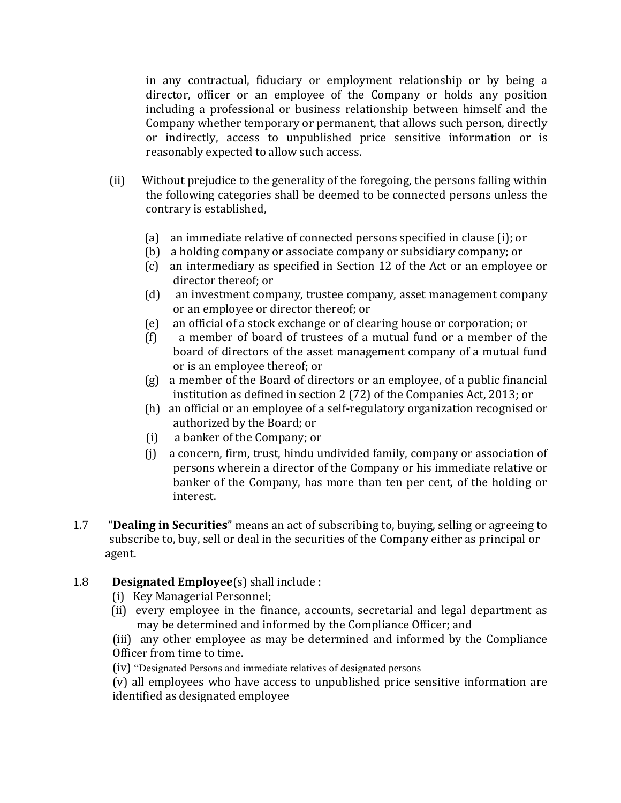in any contractual, fiduciary or employment relationship or by being a director, officer or an employee of the Company or holds any position including a professional or business relationship between himself and the Company whether temporary or permanent, that allows such person, directly or indirectly, access to unpublished price sensitive information or is reasonably expected to allow such access.

- (ii) Without prejudice to the generality of the foregoing, the persons falling within the following categories shall be deemed to be connected persons unless the contrary is established,
	- (a) an immediate relative of connected persons specified in clause (i); or
	- (b) a holding company or associate company or subsidiary company; or
	- (c) an intermediary as specified in Section 12 of the Act or an employee or director thereof; or
	- (d) an investment company, trustee company, asset management company or an employee or director thereof; or
	- (e) an official of a stock exchange or of clearing house or corporation; or
	- (f) a member of board of trustees of a mutual fund or a member of the board of directors of the asset management company of a mutual fund or is an employee thereof; or
	- (g) a member of the Board of directors or an employee, of a public financial institution as defined in section 2 (72) of the Companies Act, 2013; or
	- (h) an official or an employee of a self-regulatory organization recognised or authorized by the Board; or
	- (i) a banker of the Company; or
	- (j) a concern, firm, trust, hindu undivided family, company or association of persons wherein a director of the Company or his immediate relative or banker of the Company, has more than ten per cent, of the holding or interest.
- 1.7 "**Dealing in Securities**" means an act of subscribing to, buying, selling or agreeing to subscribe to, buy, sell or deal in the securities of the Company either as principal or agent.

#### 1.8 **Designated Employee**(s) shall include :

- (i) Key Managerial Personnel;
- (ii) every employee in the finance, accounts, secretarial and legal department as may be determined and informed by the Compliance Officer; and

(iii) any other employee as may be determined and informed by the Compliance Officer from time to time.

(iv) "Designated Persons and immediate relatives of designated persons

(v) all employees who have access to unpublished price sensitive information are identified as designated employee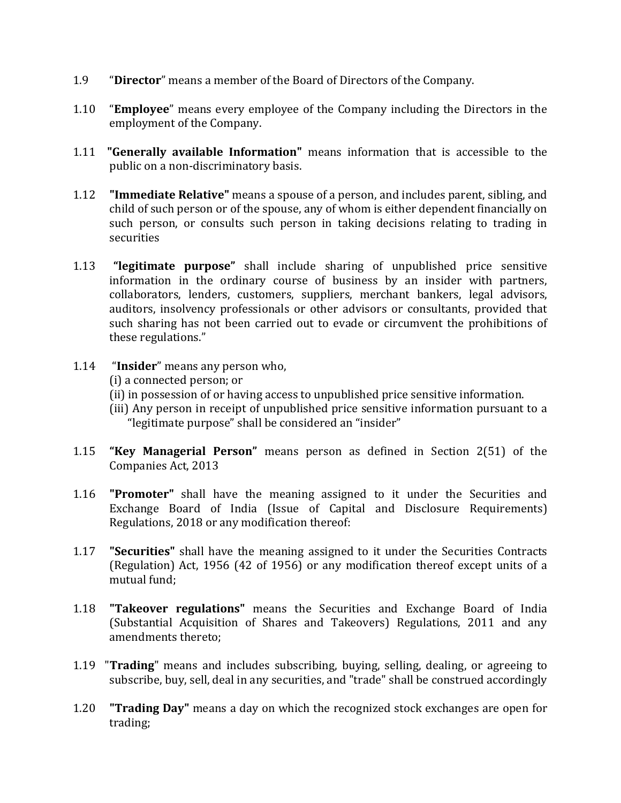- 1.9 "**Director**" means a member of the Board of Directors of the Company.
- 1.10 "**Employee**" means every employee of the Company including the Directors in the employment of the Company.
- 1.11 **"Generally available Information"** means information that is accessible to the public on a non-discriminatory basis.
- 1.12 **"Immediate Relative"** means a spouse of a person, and includes parent, sibling, and child of such person or of the spouse, any of whom is either dependent financially on such person, or consults such person in taking decisions relating to trading in securities
- 1.13 **"legitimate purpose"** shall include sharing of unpublished price sensitive information in the ordinary course of business by an insider with partners, collaborators, lenders, customers, suppliers, merchant bankers, legal advisors, auditors, insolvency professionals or other advisors or consultants, provided that such sharing has not been carried out to evade or circumvent the prohibitions of these regulations."
- 1.14 "**Insider**" means any person who,
	- (i) a connected person; or
	- (ii) in possession of or having access to unpublished price sensitive information.
	- (iii) Any person in receipt of unpublished price sensitive information pursuant to a "legitimate purpose" shall be considered an "insider"
- 1.15 **"Key Managerial Person"** means person as defined in Section 2(51) of the Companies Act, 2013
- 1.16 **"Promoter"** shall have the meaning assigned to it under the Securities and Exchange Board of India (Issue of Capital and Disclosure Requirements) Regulations, 2018 or any modification thereof:
- 1.17 **"Securities"** shall have the meaning assigned to it under the Securities Contracts (Regulation) Act, 1956 (42 of 1956) or any modification thereof except units of a mutual fund;
- 1.18 **"Takeover regulations"** means the Securities and Exchange Board of India (Substantial Acquisition of Shares and Takeovers) Regulations, 2011 and any amendments thereto;
- 1.19 "**Trading**" means and includes subscribing, buying, selling, dealing, or agreeing to subscribe, buy, sell, deal in any securities, and "trade" shall be construed accordingly
- 1.20 **"Trading Day"** means a day on which the recognized stock exchanges are open for trading;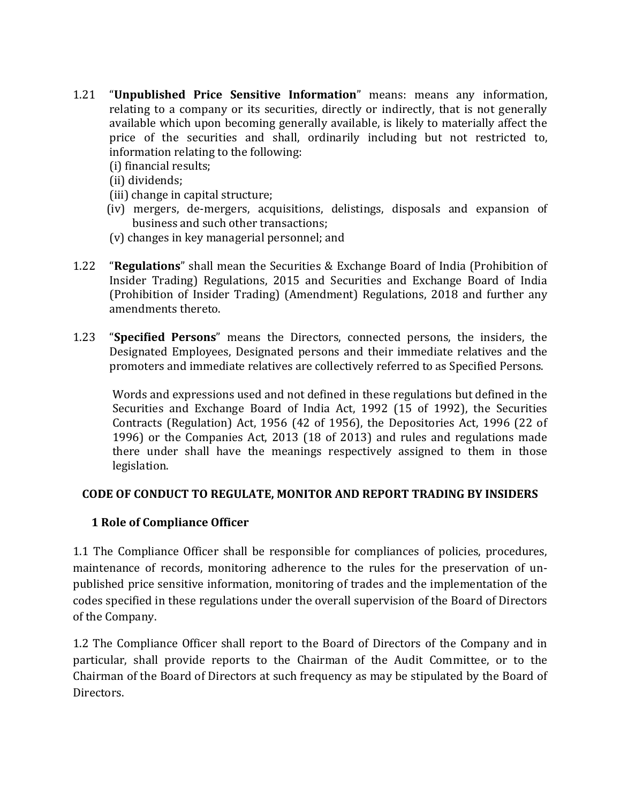- 1.21 "**Unpublished Price Sensitive Information**" means: means any information, relating to a company or its securities, directly or indirectly, that is not generally available which upon becoming generally available, is likely to materially affect the price of the securities and shall, ordinarily including but not restricted to, information relating to the following:
	- (i) financial results;
	- (ii) dividends;
	- (iii) change in capital structure;
	- (iv) mergers, de-mergers, acquisitions, delistings, disposals and expansion of business and such other transactions;
	- (v) changes in key managerial personnel; and
- 1.22 "**Regulations**" shall mean the Securities & Exchange Board of India (Prohibition of Insider Trading) Regulations, 2015 and Securities and Exchange Board of India (Prohibition of Insider Trading) (Amendment) Regulations, 2018 and further any amendments thereto.
- 1.23 "**Specified Persons**" means the Directors, connected persons, the insiders, the Designated Employees, Designated persons and their immediate relatives and the promoters and immediate relatives are collectively referred to as Specified Persons.

Words and expressions used and not defined in these regulations but defined in the Securities and Exchange Board of India Act, 1992 (15 of 1992), the Securities Contracts (Regulation) Act, 1956 (42 of 1956), the Depositories Act, 1996 (22 of 1996) or the Companies Act, 2013 (18 of 2013) and rules and regulations made there under shall have the meanings respectively assigned to them in those legislation.

#### **CODE OF CONDUCT TO REGULATE, MONITOR AND REPORT TRADING BY INSIDERS**

#### **1 Role of Compliance Officer**

1.1 The Compliance Officer shall be responsible for compliances of policies, procedures, maintenance of records, monitoring adherence to the rules for the preservation of unpublished price sensitive information, monitoring of trades and the implementation of the codes specified in these regulations under the overall supervision of the Board of Directors of the Company.

1.2 The Compliance Officer shall report to the Board of Directors of the Company and in particular, shall provide reports to the Chairman of the Audit Committee, or to the Chairman of the Board of Directors at such frequency as may be stipulated by the Board of Directors.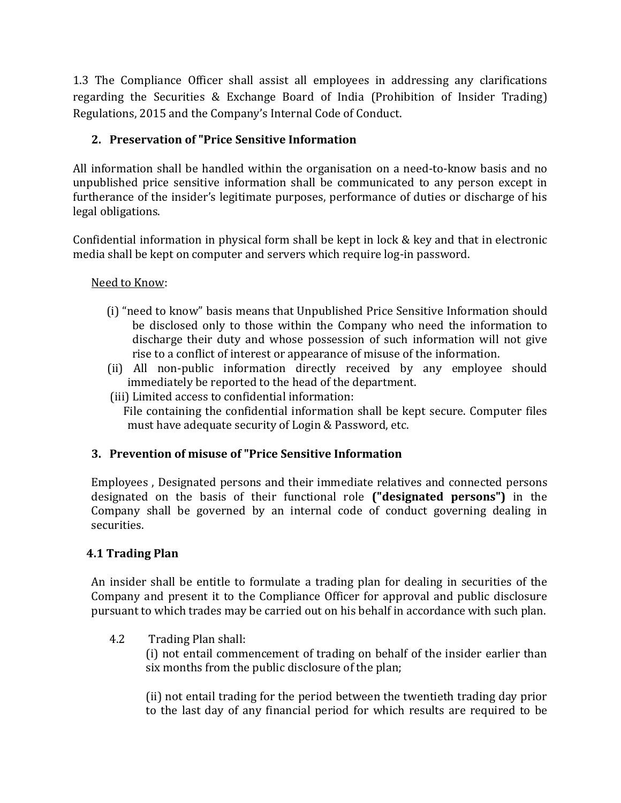1.3 The Compliance Officer shall assist all employees in addressing any clarifications regarding the Securities & Exchange Board of India (Prohibition of Insider Trading) Regulations, 2015 and the Company's Internal Code of Conduct.

#### **2. Preservation of "Price Sensitive Information**

All information shall be handled within the organisation on a need-to-know basis and no unpublished price sensitive information shall be communicated to any person except in furtherance of the insider's legitimate purposes, performance of duties or discharge of his legal obligations.

Confidential information in physical form shall be kept in lock & key and that in electronic media shall be kept on computer and servers which require log-in password.

#### Need to Know:

- (i) "need to know" basis means that Unpublished Price Sensitive Information should be disclosed only to those within the Company who need the information to discharge their duty and whose possession of such information will not give rise to a conflict of interest or appearance of misuse of the information.
- (ii) All non-public information directly received by any employee should immediately be reported to the head of the department.
- (iii) Limited access to confidential information:

 File containing the confidential information shall be kept secure. Computer files must have adequate security of Login & Password, etc.

#### **3. Prevention of misuse of "Price Sensitive Information**

Employees , Designated persons and their immediate relatives and connected persons designated on the basis of their functional role **("designated persons")** in the Company shall be governed by an internal code of conduct governing dealing in securities.

#### **4.1 Trading Plan**

An insider shall be entitle to formulate a trading plan for dealing in securities of the Company and present it to the Compliance Officer for approval and public disclosure pursuant to which trades may be carried out on his behalf in accordance with such plan.

4.2 Trading Plan shall:

(i) not entail commencement of trading on behalf of the insider earlier than six months from the public disclosure of the plan;

(ii) not entail trading for the period between the twentieth trading day prior to the last day of any financial period for which results are required to be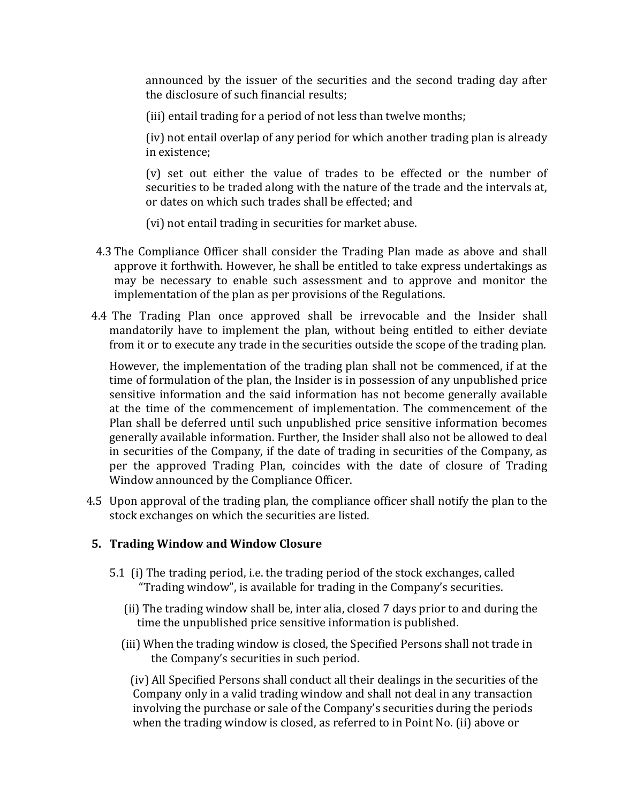announced by the issuer of the securities and the second trading day after the disclosure of such financial results;

(iii) entail trading for a period of not less than twelve months;

(iv) not entail overlap of any period for which another trading plan is already in existence;

(v) set out either the value of trades to be effected or the number of securities to be traded along with the nature of the trade and the intervals at, or dates on which such trades shall be effected; and

(vi) not entail trading in securities for market abuse.

- 4.3 The Compliance Officer shall consider the Trading Plan made as above and shall approve it forthwith. However, he shall be entitled to take express undertakings as may be necessary to enable such assessment and to approve and monitor the implementation of the plan as per provisions of the Regulations.
- 4.4 The Trading Plan once approved shall be irrevocable and the Insider shall mandatorily have to implement the plan, without being entitled to either deviate from it or to execute any trade in the securities outside the scope of the trading plan.

However, the implementation of the trading plan shall not be commenced, if at the time of formulation of the plan, the Insider is in possession of any unpublished price sensitive information and the said information has not become generally available at the time of the commencement of implementation. The commencement of the Plan shall be deferred until such unpublished price sensitive information becomes generally available information. Further, the Insider shall also not be allowed to deal in securities of the Company, if the date of trading in securities of the Company, as per the approved Trading Plan, coincides with the date of closure of Trading Window announced by the Compliance Officer.

 4.5 Upon approval of the trading plan, the compliance officer shall notify the plan to the stock exchanges on which the securities are listed.

#### **5. Trading Window and Window Closure**

- 5.1 (i) The trading period, i.e. the trading period of the stock exchanges, called "Trading window", is available for trading in the Company's securities.
	- (ii) The trading window shall be, inter alia, closed 7 days prior to and during the time the unpublished price sensitive information is published.
	- (iii) When the trading window is closed, the Specified Persons shall not trade in the Company's securities in such period.

(iv) All Specified Persons shall conduct all their dealings in the securities of the Company only in a valid trading window and shall not deal in any transaction involving the purchase or sale of the Company's securities during the periods when the trading window is closed, as referred to in Point No. (ii) above or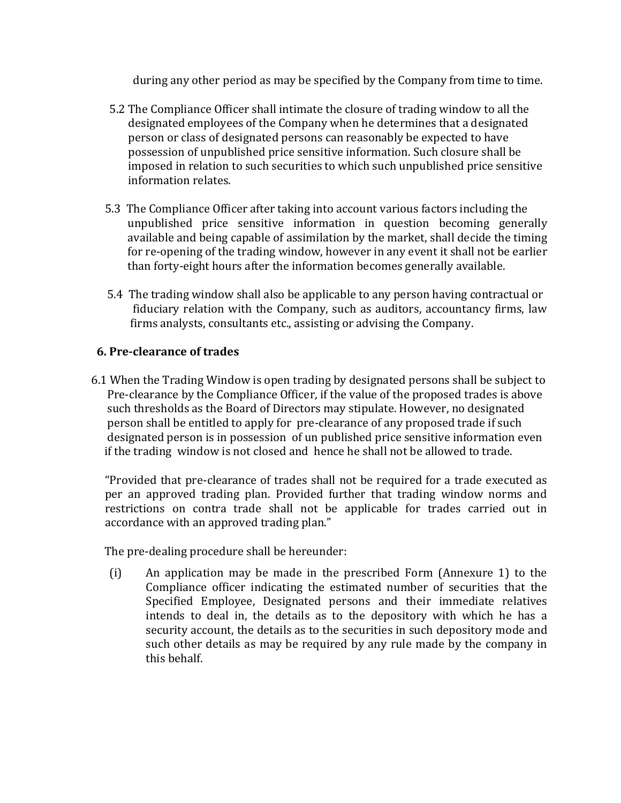during any other period as may be specified by the Company from time to time.

- 5.2 The Compliance Officer shall intimate the closure of trading window to all the designated employees of the Company when he determines that a designated person or class of designated persons can reasonably be expected to have possession of unpublished price sensitive information. Such closure shall be imposed in relation to such securities to which such unpublished price sensitive information relates.
- 5.3 The Compliance Officer after taking into account various factors including the unpublished price sensitive information in question becoming generally available and being capable of assimilation by the market, shall decide the timing for re-opening of the trading window, however in any event it shall not be earlier than forty-eight hours after the information becomes generally available.
- 5.4 The trading window shall also be applicable to any person having contractual or fiduciary relation with the Company, such as auditors, accountancy firms, law firms analysts, consultants etc., assisting or advising the Company.

#### **6. Pre-clearance of trades**

6.1 When the Trading Window is open trading by designated persons shall be subject to Pre-clearance by the Compliance Officer, if the value of the proposed trades is above such thresholds as the Board of Directors may stipulate. However, no designated person shall be entitled to apply for pre-clearance of any proposed trade if such designated person is in possession of un published price sensitive information even if the trading window is not closed and hence he shall not be allowed to trade.

"Provided that pre-clearance of trades shall not be required for a trade executed as per an approved trading plan. Provided further that trading window norms and restrictions on contra trade shall not be applicable for trades carried out in accordance with an approved trading plan."

The pre-dealing procedure shall be hereunder:

(i) An application may be made in the prescribed Form (Annexure 1) to the Compliance officer indicating the estimated number of securities that the Specified Employee, Designated persons and their immediate relatives intends to deal in, the details as to the depository with which he has a security account, the details as to the securities in such depository mode and such other details as may be required by any rule made by the company in this behalf.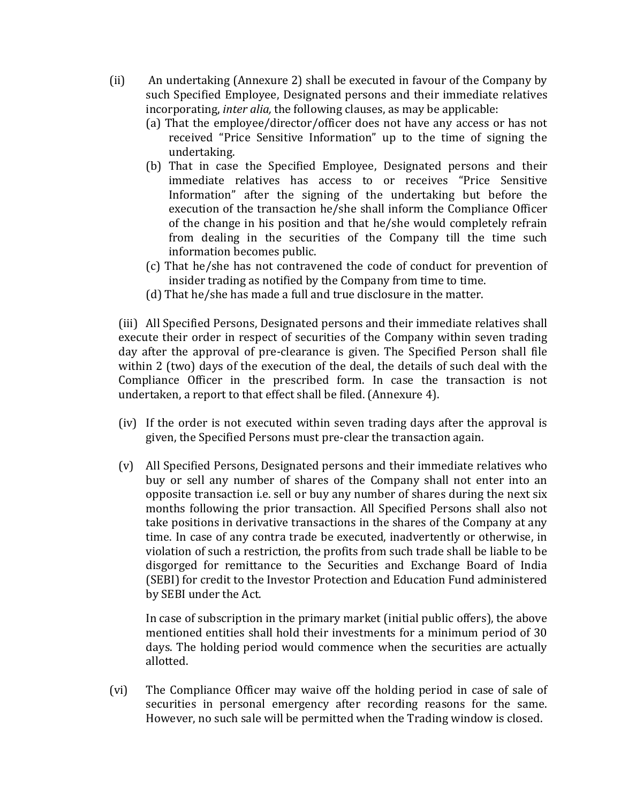- (ii) An undertaking (Annexure 2) shall be executed in favour of the Company by such Specified Employee, Designated persons and their immediate relatives incorporating, *inter alia,* the following clauses, as may be applicable:
	- (a) That the employee/director/officer does not have any access or has not received "Price Sensitive Information" up to the time of signing the undertaking.
	- (b) That in case the Specified Employee, Designated persons and their immediate relatives has access to or receives "Price Sensitive Information" after the signing of the undertaking but before the execution of the transaction he/she shall inform the Compliance Officer of the change in his position and that he/she would completely refrain from dealing in the securities of the Company till the time such information becomes public.
	- (c) That he/she has not contravened the code of conduct for prevention of insider trading as notified by the Company from time to time.
	- (d) That he/she has made a full and true disclosure in the matter.

(iii) All Specified Persons, Designated persons and their immediate relatives shall execute their order in respect of securities of the Company within seven trading day after the approval of pre-clearance is given. The Specified Person shall file within 2 (two) days of the execution of the deal, the details of such deal with the Compliance Officer in the prescribed form. In case the transaction is not undertaken, a report to that effect shall be filed. (Annexure 4).

- (iv) If the order is not executed within seven trading days after the approval is given, the Specified Persons must pre-clear the transaction again.
- (v) All Specified Persons, Designated persons and their immediate relatives who buy or sell any number of shares of the Company shall not enter into an opposite transaction i.e. sell or buy any number of shares during the next six months following the prior transaction. All Specified Persons shall also not take positions in derivative transactions in the shares of the Company at any time. In case of any contra trade be executed, inadvertently or otherwise, in violation of such a restriction, the profits from such trade shall be liable to be disgorged for remittance to the Securities and Exchange Board of India (SEBI) for credit to the Investor Protection and Education Fund administered by SEBI under the Act.

In case of subscription in the primary market (initial public offers), the above mentioned entities shall hold their investments for a minimum period of 30 days. The holding period would commence when the securities are actually allotted.

(vi) The Compliance Officer may waive off the holding period in case of sale of securities in personal emergency after recording reasons for the same. However, no such sale will be permitted when the Trading window is closed.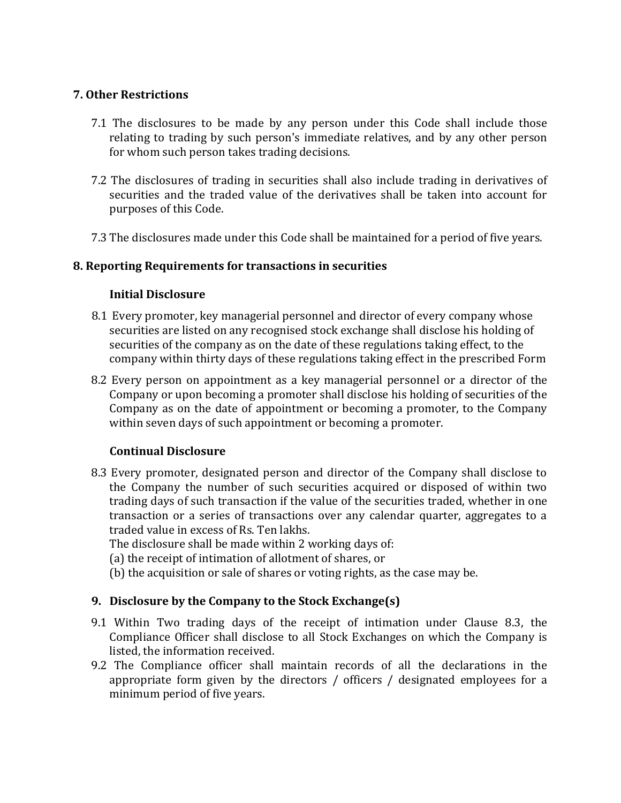#### **7. Other Restrictions**

- 7.1 The disclosures to be made by any person under this Code shall include those relating to trading by such person's immediate relatives, and by any other person for whom such person takes trading decisions.
- 7.2 The disclosures of trading in securities shall also include trading in derivatives of securities and the traded value of the derivatives shall be taken into account for purposes of this Code.
- 7.3 The disclosures made under this Code shall be maintained for a period of five years.

#### **8. Reporting Requirements for transactions in securities**

#### **Initial Disclosure**

- 8.1 Every promoter, key managerial personnel and director of every company whose securities are listed on any recognised stock exchange shall disclose his holding of securities of the company as on the date of these regulations taking effect, to the company within thirty days of these regulations taking effect in the prescribed Form
- 8.2 Every person on appointment as a key managerial personnel or a director of the Company or upon becoming a promoter shall disclose his holding of securities of the Company as on the date of appointment or becoming a promoter, to the Company within seven days of such appointment or becoming a promoter.

#### **Continual Disclosure**

8.3 Every promoter, designated person and director of the Company shall disclose to the Company the number of such securities acquired or disposed of within two trading days of such transaction if the value of the securities traded, whether in one transaction or a series of transactions over any calendar quarter, aggregates to a traded value in excess of Rs. Ten lakhs.

The disclosure shall be made within 2 working days of:

- (a) the receipt of intimation of allotment of shares, or
- (b) the acquisition or sale of shares or voting rights, as the case may be.

#### **9. Disclosure by the Company to the Stock Exchange(s)**

- 9.1 Within Two trading days of the receipt of intimation under Clause 8.3, the Compliance Officer shall disclose to all Stock Exchanges on which the Company is listed, the information received.
- 9.2 The Compliance officer shall maintain records of all the declarations in the appropriate form given by the directors / officers / designated employees for a minimum period of five years.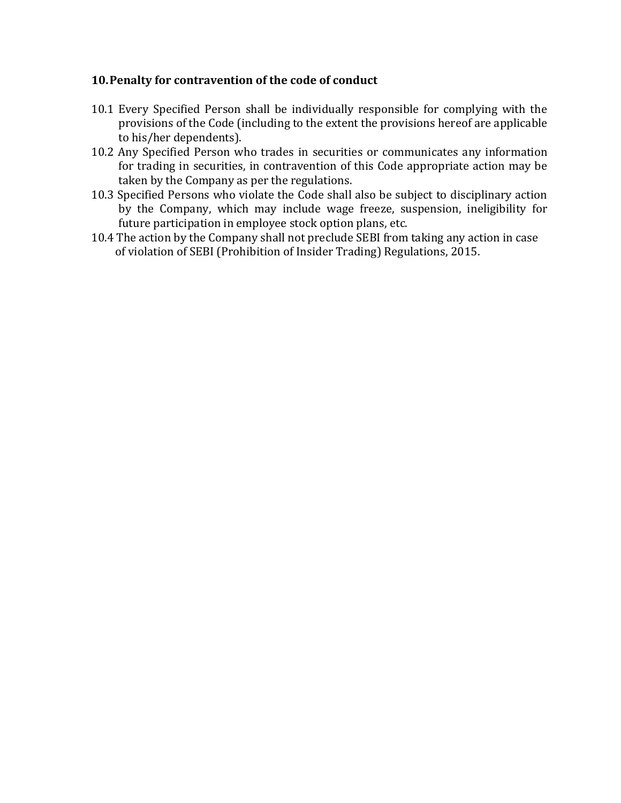#### **10.Penalty for contravention of the code of conduct**

- 10.1 Every Specified Person shall be individually responsible for complying with the provisions of the Code (including to the extent the provisions hereof are applicable to his/her dependents).
- 10.2 Any Specified Person who trades in securities or communicates any information for trading in securities, in contravention of this Code appropriate action may be taken by the Company as per the regulations.
- 10.3 Specified Persons who violate the Code shall also be subject to disciplinary action by the Company, which may include wage freeze, suspension, ineligibility for future participation in employee stock option plans, etc.
- 10.4 The action by the Company shall not preclude SEBI from taking any action in case of violation of SEBI (Prohibition of Insider Trading) Regulations, 2015.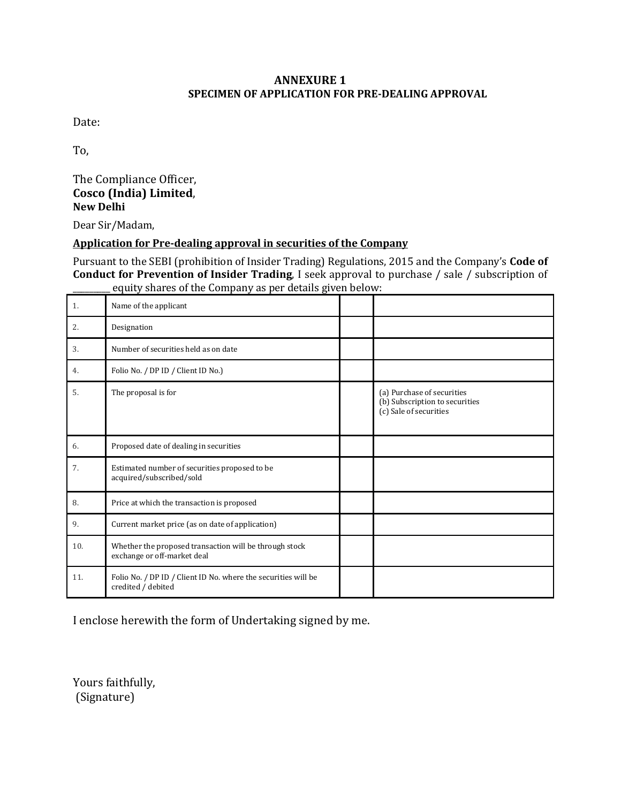#### **ANNEXURE 1 SPECIMEN OF APPLICATION FOR PRE-DEALING APPROVAL**

Date:

To,

The Compliance Officer, **Cosco (India) Limited**, **New Delhi**

Dear Sir/Madam,

#### **Application for Pre-dealing approval in securities of the Company**

Pursuant to the SEBI (prohibition of Insider Trading) Regulations, 2015 and the Company's **Code of Conduct for Prevention of Insider Trading**, I seek approval to purchase / sale / subscription of equity shares of the Company as per details given below:

| 1.  | Name of the applicant                                                                 |                                                                                        |
|-----|---------------------------------------------------------------------------------------|----------------------------------------------------------------------------------------|
| 2.  | Designation                                                                           |                                                                                        |
| 3.  | Number of securities held as on date                                                  |                                                                                        |
| 4.  | Folio No. / DP ID / Client ID No.)                                                    |                                                                                        |
| 5.  | The proposal is for                                                                   | (a) Purchase of securities<br>(b) Subscription to securities<br>(c) Sale of securities |
| 6.  | Proposed date of dealing in securities                                                |                                                                                        |
| 7.  | Estimated number of securities proposed to be<br>acquired/subscribed/sold             |                                                                                        |
| 8.  | Price at which the transaction is proposed                                            |                                                                                        |
| 9.  | Current market price (as on date of application)                                      |                                                                                        |
| 10. | Whether the proposed transaction will be through stock<br>exchange or off-market deal |                                                                                        |
| 11. | Folio No. / DP ID / Client ID No. where the securities will be<br>credited / debited  |                                                                                        |

I enclose herewith the form of Undertaking signed by me.

Yours faithfully, (Signature)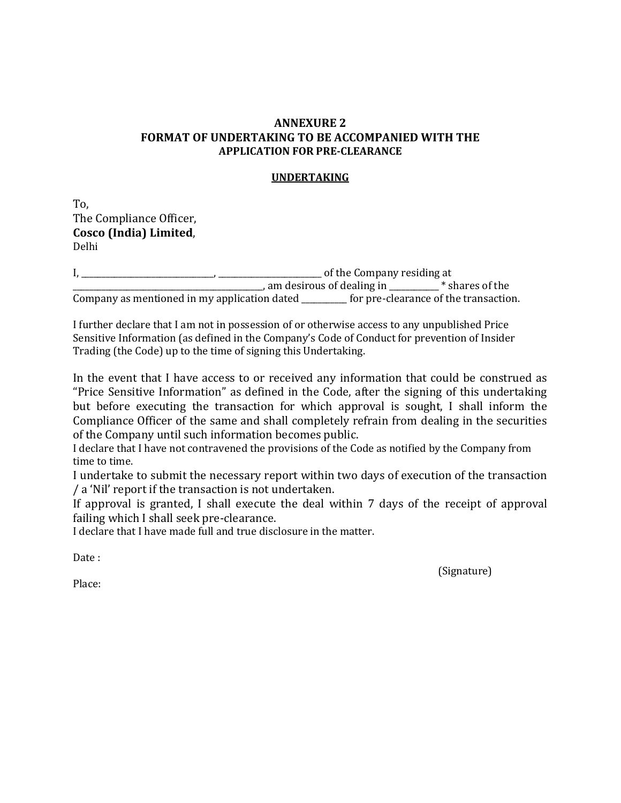#### **ANNEXURE 2 FORMAT OF UNDERTAKING TO BE ACCOMPANIED WITH THE APPLICATION FOR PRE-CLEARANCE**

#### **UNDERTAKING**

To, The Compliance Officer, **Cosco (India) Limited**, Delhi

I, \_\_\_\_\_\_\_\_\_\_\_\_\_\_\_\_\_\_\_\_\_\_\_\_\_\_\_\_\_\_\_\_, \_\_\_\_\_\_\_\_\_\_\_\_\_\_\_\_\_\_\_\_\_\_\_\_\_ of the Company residing at \_\_\_\_\_\_\_\_\_\_\_\_\_\_\_\_\_\_\_\_\_\_\_\_\_\_\_\_\_\_\_\_\_\_\_\_\_\_\_\_\_\_\_\_\_\_, am desirous of dealing in \_\_\_\_\_\_\_\_\_\_\_\_ \* shares of the Company as mentioned in my application dated \_\_\_\_\_\_\_\_\_\_\_ for pre-clearance of the transaction.

I further declare that I am not in possession of or otherwise access to any unpublished Price Sensitive Information (as defined in the Company's Code of Conduct for prevention of Insider Trading (the Code) up to the time of signing this Undertaking.

In the event that I have access to or received any information that could be construed as "Price Sensitive Information" as defined in the Code, after the signing of this undertaking but before executing the transaction for which approval is sought, I shall inform the Compliance Officer of the same and shall completely refrain from dealing in the securities of the Company until such information becomes public.

I declare that I have not contravened the provisions of the Code as notified by the Company from time to time.

I undertake to submit the necessary report within two days of execution of the transaction / a 'Nil' report if the transaction is not undertaken.

If approval is granted, I shall execute the deal within 7 days of the receipt of approval failing which I shall seek pre-clearance.

I declare that I have made full and true disclosure in the matter.

Date :

(Signature)

Place: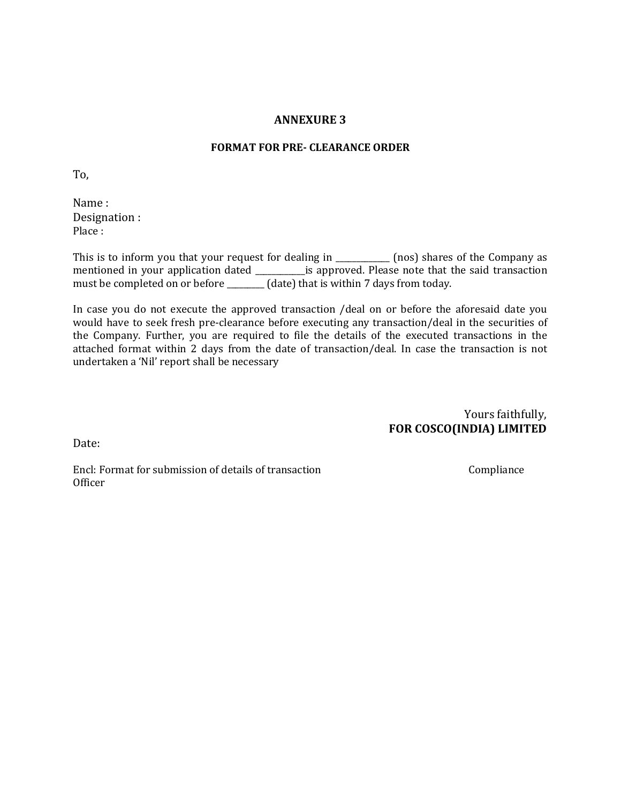#### **ANNEXURE 3**

#### **FORMAT FOR PRE- CLEARANCE ORDER**

To,

Name : Designation : Place :

This is to inform you that your request for dealing in \_\_\_\_\_\_\_\_\_\_\_\_ (nos) shares of the Company as mentioned in your application dated \_\_\_\_\_\_\_\_\_\_\_\_is approved. Please note that the said transaction must be completed on or before \_\_\_\_\_\_\_\_\_ (date) that is within 7 days from today.

In case you do not execute the approved transaction /deal on or before the aforesaid date you would have to seek fresh pre-clearance before executing any transaction/deal in the securities of the Company. Further, you are required to file the details of the executed transactions in the attached format within 2 days from the date of transaction/deal. In case the transaction is not undertaken a 'Nil' report shall be necessary

> Yours faithfully, **FOR COSCO(INDIA) LIMITED**

Date:

Encl: Format for submission of details of transaction Compliance Officer